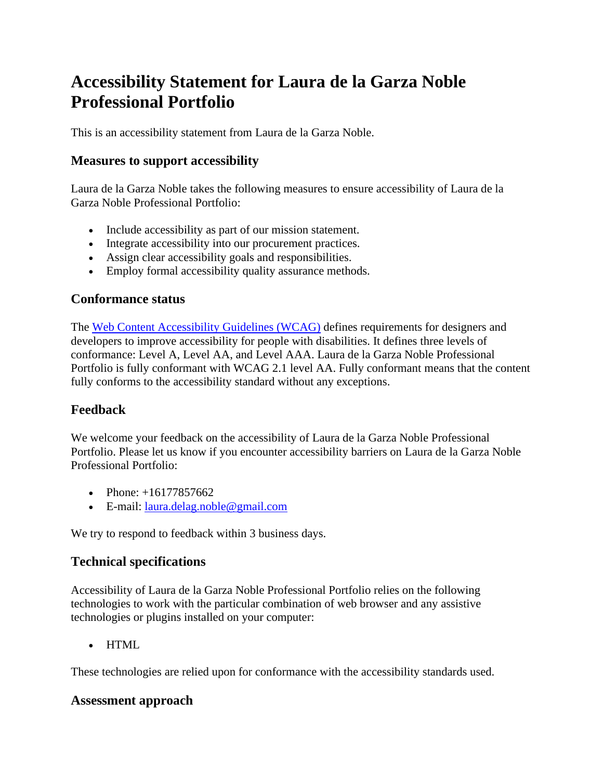# **Accessibility Statement for Laura de la Garza Noble Professional Portfolio**

This is an accessibility statement from Laura de la Garza Noble.

## **Measures to support accessibility**

Laura de la Garza Noble takes the following measures to ensure accessibility of Laura de la Garza Noble Professional Portfolio:

- Include accessibility as part of our mission statement.
- Integrate accessibility into our procurement practices.
- Assign clear accessibility goals and responsibilities.
- Employ formal accessibility quality assurance methods.

### **Conformance status**

The [Web Content Accessibility Guidelines \(WCAG\)](https://www.w3.org/WAI/standards-guidelines/wcag/) defines requirements for designers and developers to improve accessibility for people with disabilities. It defines three levels of conformance: Level A, Level AA, and Level AAA. Laura de la Garza Noble Professional Portfolio is fully conformant with WCAG 2.1 level AA. Fully conformant means that the content fully conforms to the accessibility standard without any exceptions.

# **Feedback**

We welcome your feedback on the accessibility of Laura de la Garza Noble Professional Portfolio. Please let us know if you encounter accessibility barriers on Laura de la Garza Noble Professional Portfolio:

- Phone:  $+16177857662$
- E-mail: [laura.delag.noble@gmail.com](mailto:laura.delag.noble@gmail.com)

We try to respond to feedback within 3 business days.

#### **Technical specifications**

Accessibility of Laura de la Garza Noble Professional Portfolio relies on the following technologies to work with the particular combination of web browser and any assistive technologies or plugins installed on your computer:

• HTML

These technologies are relied upon for conformance with the accessibility standards used.

#### **Assessment approach**